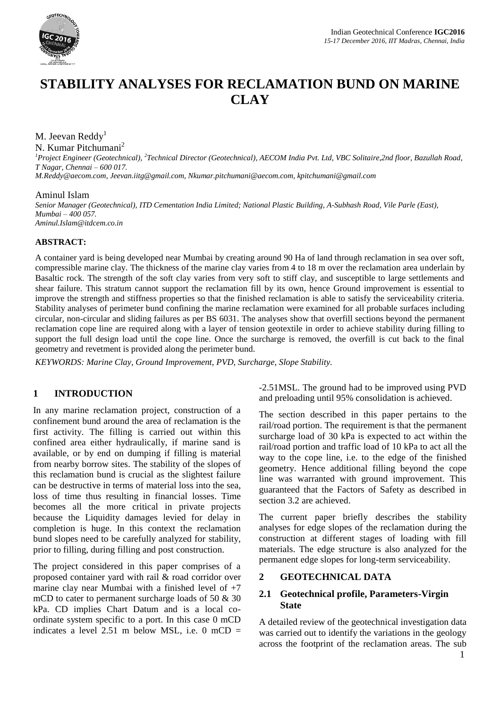

# **STABILITY ANALYSES FOR RECLAMATION BUND ON MARINE CLAY**

#### M. Jeevan Reddy<sup>1</sup>

N. Kumar Pitchumani<sup>2</sup>

*<sup>1</sup>Project Engineer (Geotechnical), <sup>2</sup> Technical Director (Geotechnical), AECOM India Pvt. Ltd, VBC Solitaire,2nd floor, Bazullah Road, T Nagar, Chennai – 600 017. [M.Reddy@aecom.com,](mailto:M.Reddy@aecom.com) [Jeevan.iitg@gmail.com,](mailto:Jeevan.iitg@gmail.com) [Nkumar.pitchumani@aecom.com,](mailto:Nkumar.pitchumani@aecom.com) kpitchumani@gmail.com*

#### Aminul Islam

*Senior Manager (Geotechnical), ITD Cementation India Limited; National Plastic Building, A-Subhash Road, Vile Parle (East), Mumbai – 400 057. [Aminul.Islam@itdcem.co.in](mailto:Aminul.Islam@itdcem.co.in)*

#### **ABSTRACT:**

A container yard is being developed near Mumbai by creating around 90 Ha of land through reclamation in sea over soft, compressible marine clay. The thickness of the marine clay varies from 4 to 18 m over the reclamation area underlain by Basaltic rock. The strength of the soft clay varies from very soft to stiff clay, and susceptible to large settlements and shear failure. This stratum cannot support the reclamation fill by its own, hence Ground improvement is essential to improve the strength and stiffness properties so that the finished reclamation is able to satisfy the serviceability criteria. Stability analyses of perimeter bund confining the marine reclamation were examined for all probable surfaces including circular, non-circular and sliding failures as per BS 6031. The analyses show that overfill sections beyond the permanent reclamation cope line are required along with a layer of tension geotextile in order to achieve stability during filling to support the full design load until the cope line. Once the surcharge is removed, the overfill is cut back to the final geometry and revetment is provided along the perimeter bund.

*KEYWORDS: Marine Clay, Ground Improvement, PVD, Surcharge, Slope Stability.*

#### **1 INTRODUCTION**

In any marine reclamation project, construction of a confinement bund around the area of reclamation is the first activity. The filling is carried out within this confined area either hydraulically, if marine sand is available, or by end on dumping if filling is material from nearby borrow sites. The stability of the slopes of this reclamation bund is crucial as the slightest failure can be destructive in terms of material loss into the sea, loss of time thus resulting in financial losses. Time becomes all the more critical in private projects because the Liquidity damages levied for delay in completion is huge. In this context the reclamation bund slopes need to be carefully analyzed for stability, prior to filling, during filling and post construction.

The project considered in this paper comprises of a proposed container yard with rail & road corridor over marine clay near Mumbai with a finished level of  $+7$ mCD to cater to permanent surcharge loads of 50 & 30 kPa. CD implies Chart Datum and is a local coordinate system specific to a port. In this case 0 mCD indicates a level  $2.51$  m below MSL, i.e. 0 mCD =

-2.51MSL. The ground had to be improved using PVD and preloading until 95% consolidation is achieved.

The section described in this paper pertains to the rail/road portion. The requirement is that the permanent surcharge load of 30 kPa is expected to act within the rail/road portion and traffic load of 10 kPa to act all the way to the cope line, i.e. to the edge of the finished geometry. Hence additional filling beyond the cope line was warranted with ground improvement. This guaranteed that the Factors of Safety as described in section 3.2 are achieved.

The current paper briefly describes the stability analyses for edge slopes of the reclamation during the construction at different stages of loading with fill materials. The edge structure is also analyzed for the permanent edge slopes for long-term serviceability.

#### **2 GEOTECHNICAL DATA**

#### **2.1 Geotechnical profile, Parameters-Virgin State**

A detailed review of the geotechnical investigation data was carried out to identify the variations in the geology across the footprint of the reclamation areas. The sub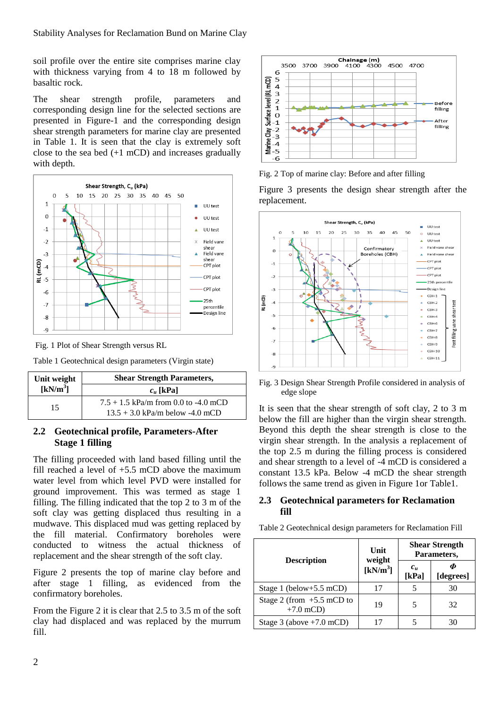soil profile over the entire site comprises marine clay with thickness varying from 4 to 18 m followed by basaltic rock.

The shear strength profile, parameters and corresponding design line for the selected sections are presented in Figure-1 and the corresponding design shear strength parameters for marine clay are presented in Table 1. It is seen that the clay is extremely soft close to the sea bed (+1 mCD) and increases gradually with depth.





Table 1 Geotechnical design parameters (Virgin state)

| Unit weight | <b>Shear Strength Parameters,</b>                                           |
|-------------|-----------------------------------------------------------------------------|
| $[kN/m^3]$  | $c_u$ [kPa]                                                                 |
| 15          | $7.5 + 1.5$ kPa/m from 0.0 to -4.0 mCD<br>$13.5 + 3.0$ kPa/m below -4.0 mCD |

#### **2.2 Geotechnical profile, Parameters-After Stage 1 filling**

The filling proceeded with land based filling until the fill reached a level of  $+5.5$  mCD above the maximum water level from which level PVD were installed for ground improvement. This was termed as stage 1 filling. The filling indicated that the top 2 to 3 m of the soft clay was getting displaced thus resulting in a mudwave. This displaced mud was getting replaced by the fill material. Confirmatory boreholes were conducted to witness the actual thickness of replacement and the shear strength of the soft clay.

Figure 2 presents the top of marine clay before and after stage 1 filling, as evidenced from the confirmatory boreholes.

From the Figure 2 it is clear that 2.5 to 3.5 m of the soft clay had displaced and was replaced by the murrum fill.



Fig. 2 Top of marine clay: Before and after filling

Figure 3 presents the design shear strength after the replacement.



Fig. 3 Design Shear Strength Profile considered in analysis of edge slope

It is seen that the shear strength of soft clay, 2 to 3 m below the fill are higher than the virgin shear strength. Beyond this depth the shear strength is close to the virgin shear strength. In the analysis a replacement of the top 2.5 m during the filling process is considered and shear strength to a level of -4 mCD is considered a constant 13.5 kPa. Below -4 mCD the shear strength follows the same trend as given in Figure 1or Table1.

#### **2.3 Geotechnical parameters for Reclamation fill**

Table 2 Geotechnical design parameters for Reclamation Fill

|                                            | Unit<br>weight | <b>Shear Strength</b><br>Parameters, |           |
|--------------------------------------------|----------------|--------------------------------------|-----------|
| <b>Description</b>                         | $[kN/m^3]$     | $c_u$<br>[kPa]                       | [degrees] |
| Stage 1 (below+5.5 mCD)                    | 17             |                                      | 30        |
| Stage 2 (from $+5.5$ mCD to<br>$+7.0$ mCD) | 19             | 5                                    | 32        |
| Stage 3 (above $+7.0$ mCD)                 |                |                                      | 30        |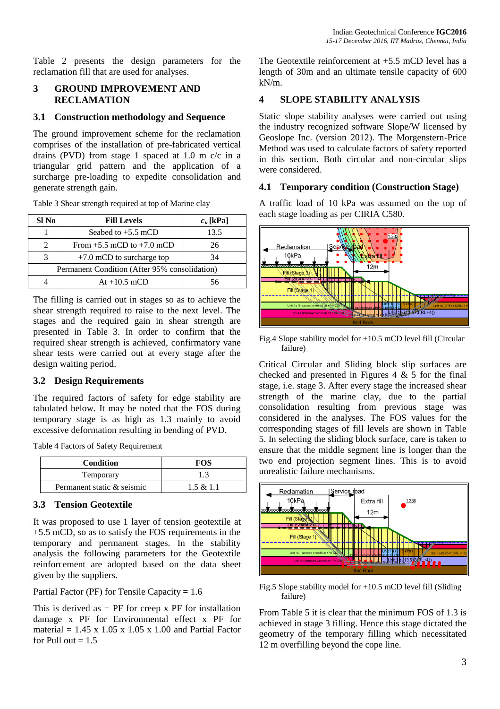Table 2 presents the design parameters for the reclamation fill that are used for analyses.

#### **3 GROUND IMPROVEMENT AND RECLAMATION**

#### **3.1 Construction methodology and Sequence**

The ground improvement scheme for the reclamation comprises of the installation of pre-fabricated vertical drains (PVD) from stage 1 spaced at 1.0 m c/c in a triangular grid pattern and the application of a surcharge pre-loading to expedite consolidation and generate strength gain.

| Sl No                                         | <b>Fill Levels</b>                | $c_u$ [kPa] |
|-----------------------------------------------|-----------------------------------|-------------|
|                                               | Seabed to $+5.5$ mCD              | 13.5        |
|                                               | From $+5.5$ mCD to $+7.0$ mCD     | 26          |
|                                               | $+7.0$ mCD to surcharge top<br>34 |             |
| Permanent Condition (After 95% consolidation) |                                   |             |
|                                               | At $+10.5$ mCD                    |             |

Table 3 Shear strength required at top of Marine clay

The filling is carried out in stages so as to achieve the shear strength required to raise to the next level. The stages and the required gain in shear strength are presented in Table 3. In order to confirm that the required shear strength is achieved, confirmatory vane shear tests were carried out at every stage after the design waiting period.

## **3.2 Design Requirements**

The required factors of safety for edge stability are tabulated below. It may be noted that the FOS during temporary stage is as high as 1.3 mainly to avoid excessive deformation resulting in bending of PVD.

Table 4 Factors of Safety Requirement

| <b>Condition</b>           | <b>FOS</b> |  |
|----------------------------|------------|--|
| Temporary                  |            |  |
| Permanent static & seismic | 1.5 & 1.1  |  |

# **3.3 Tension Geotextile**

It was proposed to use 1 layer of tension geotextile at +5.5 mCD, so as to satisfy the FOS requirements in the temporary and permanent stages. In the stability analysis the following parameters for the Geotextile reinforcement are adopted based on the data sheet given by the suppliers.

Partial Factor (PF) for Tensile Capacity = 1.6

This is derived as  $=$  PF for creep x PF for installation damage x PF for Environmental effect x PF for material =  $1.45 \times 1.05 \times 1.05 \times 1.00$  and Partial Factor for Pull out  $= 1.5$ 

The Geotextile reinforcement at  $+5.5$  mCD level has a length of 30m and an ultimate tensile capacity of 600 kN/m.

# **4 SLOPE STABILITY ANALYSIS**

Static slope stability analyses were carried out using the industry recognized software Slope/W licensed by Geoslope Inc. (version 2012). The Morgenstern-Price Method was used to calculate factors of safety reported in this section. Both circular and non-circular slips were considered.

## **4.1 Temporary condition (Construction Stage)**

A traffic load of 10 kPa was assumed on the top of each stage loading as per CIRIA C580.



Fig.4 Slope stability model for +10.5 mCD level fill (Circular failure)

Critical Circular and Sliding block slip surfaces are checked and presented in Figures 4  $\&$  5 for the final stage, i.e. stage 3. After every stage the increased shear strength of the marine clay, due to the partial consolidation resulting from previous stage was considered in the analyses. The FOS values for the corresponding stages of fill levels are shown in Table 5. In selecting the sliding block surface, care is taken to ensure that the middle segment line is longer than the two end projection segment lines. This is to avoid unrealistic failure mechanisms.



Fig.5 Slope stability model for +10.5 mCD level fill (Sliding failure)

From Table 5 it is clear that the minimum FOS of 1.3 is achieved in stage 3 filling. Hence this stage dictated the geometry of the temporary filling which necessitated 12 m overfilling beyond the cope line.